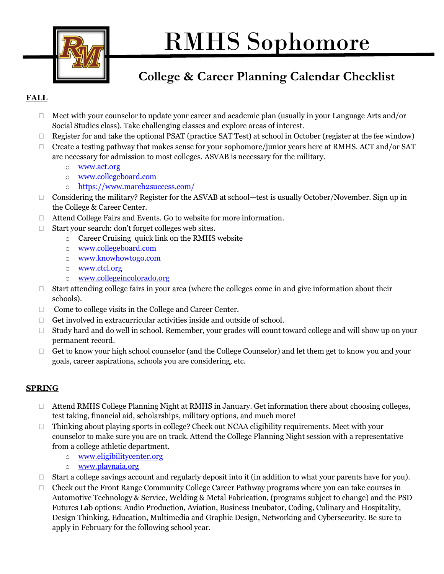

## RMHS Sophomore

## **College & Career Planning Calendar Checklist**

## **FALL**

- □ Meet with your counselor to update your career and academic plan (usually in your Language Arts and/or Social Studies class). Take challenging classes and explore areas of interest.
- $\Box$  Register for and take the optional PSAT (practice SAT Test) at school in October (register at the fee window)
- $\Box$  Create a testing pathway that makes sense for your sophomore/junior years here at RMHS. ACT and/or SAT are necessary for admission to most colleges. ASVAB is necessary for the military.
	- o [www.act.org](http://www.act.org/)
	- o [www.collegeboard.com](http://www.collegeboard.com/)
	- o <https://www.march2success.com/>
- $\Box$  Considering the military? Register for the ASVAB at school—test is usually October/November. Sign up in the College & Career Center.
- Attend College Fairs and Events. Go to website for more information.
- □ Start your search: don't forget colleges web sites.
	- o Career Cruising quick link on the RMHS website
	- o [www.collegeboard.com](http://www.collegeboard.com/)
	- o [www.knowhowtogo.com](http://www.knowhowtogo.com/)
	- o [www.ctcl.org](http://www.ctcl.org/)
	- o [www.collegeincolorado.org](http://www.collegeincolorado.org/)
- $\Box$  Start attending college fairs in your area (where the colleges come in and give information about their schools).
- $\Box$  Come to college visits in the College and Career Center.
- $\Box$  Get involved in extracurricular activities inside and outside of school.
- $\Box$  Study hard and do well in school. Remember, your grades will count toward college and will show up on your permanent record.
- $\Box$  Get to know your high school counselor (and the College Counselor) and let them get to know you and your goals, career aspirations, schools you are considering, etc.

## **SPRING**

- Attend RMHS College Planning Night at RMHS in January. Get information there about choosing colleges, test taking, financial aid, scholarships, military options, and much more!
- □ Thinking about playing sports in college? Check out NCAA eligibility requirements. Meet with your counselor to make sure you are on track. Attend the College Planning Night session with a representative from a college athletic department.
	- o [www.eligibilitycenter.org](http://www.eligibilitycenter.org/)
	- o [www.playnaia.org](http://www.playnaia.org/)
- $\Box$  Start a college savings account and regularly deposit into it (in addition to what your parents have for you).
- $\Box$  Check out the Front Range Community College Career Pathway programs where you can take courses in Automotive Technology & Service, Welding & Metal Fabrication, (programs subject to change) and the PSD Futures Lab options: Audio Production, Aviation, Business Incubator, Coding, Culinary and Hospitality, Design Thinking, Education, Multimedia and Graphic Design, Networking and Cybersecurity. Be sure to apply in February for the following school year.